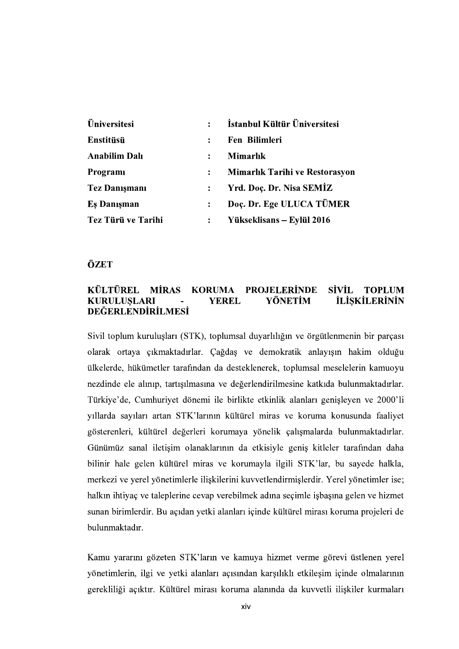| Üniversitesi         | $\ddot{\phantom{a}}$ | İstanbul Kültür Üniversitesi   |
|----------------------|----------------------|--------------------------------|
| Enstitüsü            |                      | Fen Bilimleri                  |
| <b>Anabilim Dalı</b> | $\ddot{\phantom{a}}$ | Mimarlık                       |
| Programi             | $\ddot{\cdot}$       | Mimarlık Tarihi ve Restorasyon |
| <b>Tez Danışmanı</b> |                      | Yrd. Doç. Dr. Nisa SEMİZ       |
| Es Danışman          | $\ddot{\cdot}$       | Doc. Dr. Ege ULUCA TÜMER       |
| Tez Türü ve Tarihi   | $\ddot{\cdot}$       | Yükseklisans – Eylül 2016      |

## ÖZET

## KÜLTÜREL MİRAS KORUMA PROJELERİNDE SİVİL TOPLUM<br>KURULUSLARI - YEREL YÖNETİM İLİSKİLERİNİN KURULUSLARI - YEREL **İLİSKİLERİNİN DEĞERLENDİRİLMESİ**

Sivil toplum kuruluşları (STK), toplumsal duyarlılığın ve örgütlenmenin bir parçası olarak ortaya çıkmaktadırlar. Çağdaş ve demokratik anlayışın hakim olduğu ülkelerde, hükümetler tarafından da desteklenerek, toplumsal meselelerin kamuoyu nezdinde ele alınıp, tartışılmasına ve değerlendirilmesine katkıda bulunmaktadırlar. Türkiye'de, Cumhuriyet dönemi ile birlikte etkinlik alanları genişleyen ve 2000'li yıllarda sayıları artan STK'larının kültürel miras ve koruma konusunda faaliyet gösterenleri, kültürel değerleri korumaya yönelik çalışmalarda bulunmaktadırlar. Günümüz sanal iletişim olanaklarının da etkisiyle geniş kitleler tarafından daha bilinir hale gelen kültürel miras ve korumayla ilgili STK'lar, bu sayede halkla, merkezi ve yerel yönetimlerle ilişkilerini kuvvetlendirmişlerdir. Yerel yönetimler ise; halkin ihtiyaç ve taleplerine cevap verebilmek adına seçimle işbaşına gelen ve hizmet sunan birimlerdir. Bu açıdan yetki alanları içinde kültürel mirası koruma projeleri de bulunmaktadır.

Kamu yararını gözeten STK'ların ve kamuya hizmet verme görevi üstlenen yerel yönetimlerin, ilgi ve yetki alanları açısından karşılıklı etkileşim içinde olmalarının gerekliliği açıktır. Kültürel mirası koruma alanında da kuvvetli ilişkiler kurmaları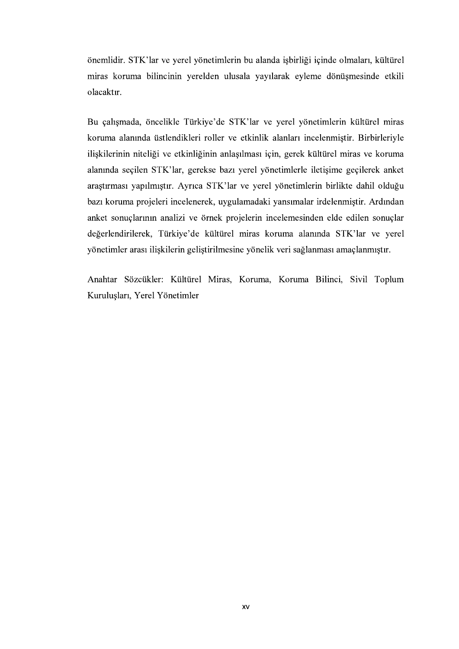önemlidir. STK'lar ve yerel yönetimlerin bu alanda işbirliği içinde olmaları, kültürel miras koruma bilincinin yerelden ulusala yayılarak eyleme dönüşmesinde etkili olacaktır.

Bu çalışmada, öncelikle Türkiye'de STK'lar ve yerel yönetimlerin kültürel miras koruma alanında üstlendikleri roller ve etkinlik alanları incelenmiştir. Birbirleriyle ilişkilerinin niteliği ve etkinliğinin anlaşılması için, gerek kültürel miras ve koruma alanında seçilen STK'lar, gerekse bazı yerel yönetimlerle iletişime geçilerek anket araştırması yapılmıştır. Ayrıca STK'lar ve yerel yönetimlerin birlikte dahil olduğu bazı koruma projeleri incelenerek, uygulamadaki yansımalar irdelenmiştir. Ardından anket sonuçlarının analizi ve örnek projelerin incelemesinden elde edilen sonuçlar değerlendirilerek, Türkiye'de kültürel miras koruma alanında STK'lar ve yerel yönetimler arası ilişkilerin geliştirilmesine yönelik veri sağlanması amaçlanmıştır.

Anahtar Sözcükler: Kültürel Miras, Koruma, Koruma Bilinci, Sivil Toplum Kuruluşları, Yerel Yönetimler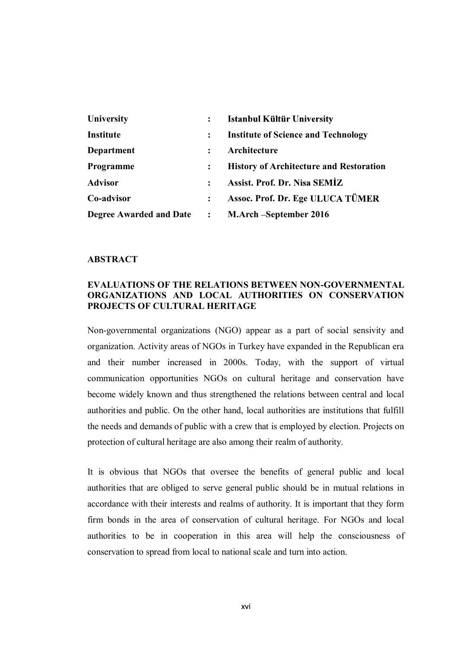| University                     | $\ddot{\cdot}$ | <b>Istanbul Kültür University</b>              |
|--------------------------------|----------------|------------------------------------------------|
| Institute                      | :              | <b>Institute of Science and Technology</b>     |
| Department                     | ٠              | Architecture                                   |
| Programme                      | :              | <b>History of Architecture and Restoration</b> |
| <b>Advisor</b>                 |                | Assist. Prof. Dr. Nisa SEMİZ                   |
| Co-advisor                     | $\ddot{\cdot}$ | Assoc. Prof. Dr. Ege ULUCA TÜMER               |
| <b>Degree Awarded and Date</b> | $\ddot{\cdot}$ | M.Arch – September 2016                        |

## **ABSTRACT**

## EVALUATIONS OF THE RELATIONS BETWEEN NON-GOVERNMENTAL ORGANIZATIONS AND LOCAL AUTHORITIES ON CONSERVATION PROJECTS OF CULTURAL HERITAGE<br>Non-governmental organizations (NGO) appear as a part of social sensivity and

organization. Activity areas of NGOs in Turkey have expanded in the Republican era and their number increased in 2000s. Today, with the support of virtual communication opportunities NGOs on cultural heritage and conservation have become widely known and thus strengthened the relations between central and local authorities and public. On the other hand, local authorities are institutions that fulfill the needs and demands of public with a crew that is employed by election. Projects on protection of cultural heritage are also among their realm of authority.

It is obvious that NGOs that oversee the benefits of general public and local authorities that are obliged to serve general public should be in mutual relations in accordance with their interests and realms of authority. It is important that they form firm bonds in the area of conservation of cultural heritage. For NGOs and local authorities to be in cooperation in this area will help the consciousness of conservation to spread from local to national scale and turn into action.